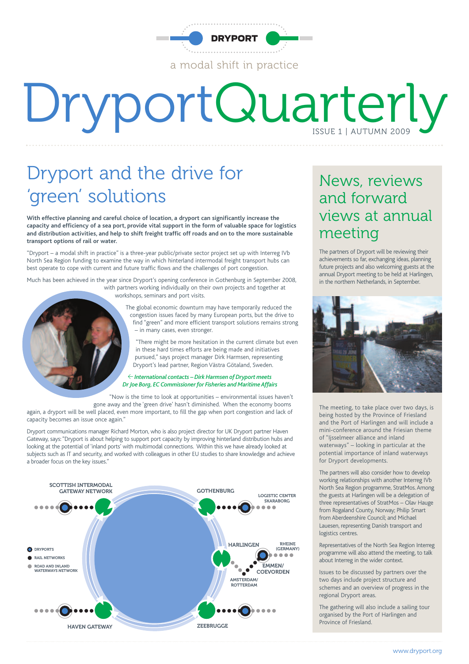

# DryportQuarterly

### Dryport and the drive for 'green' solutions

**With effective planning and careful choice of location, a dryport can significantly increase the capacity and efficiency of a sea port, provide vital support in the form of valuable space for logistics and distribution activities, and help to shift freight traffic off roads and on to the more sustainable transport options of rail or water.**

"Dryport – a modal shift in practice" is a three-year public/private sector project set up with Interreg IVb North Sea Region funding to examine the way in which hinterland intermodal freight transport hubs can best operate to cope with current and future traffic flows and the challenges of port congestion.

Much has been achieved in the year since Dryport's opening conference in Gothenburg in September 2008, with partners working individually on their own projects and together at

workshops, seminars and port visits.

The global economic downturn may have temporarily reduced the congestion issues faced by many European ports, but the drive to find "green" and more efficient transport solutions remains strong – in many cases, even stronger.

"There might be more hesitation in the current climate but even in these hard times efforts are being made and initiatives pursued," says project manager Dirk Harmsen, representing Dryport's lead partner, Region Västra Götaland, Sweden.

#### <sup>&</sup>lt; *International contacts – DirkHarmsen of Dryport meets Dr Joe Borg, EC Commissioner for Fisheries and Maritime Affairs*

"Now is the time to look at opportunities – environmental issues haven't gone away and the 'green drive' hasn't diminished. When the economy booms again, a dryport will be well placed, even more important, to fill the gap when port congestion and lack of capacity becomes an issue once again."

Dryport communications manager Richard Morton, who is also project director for UK Dryport partner Haven Gateway, says: "Dryport is about helping to support port capacity by improving hinterland distribution hubs and looking at the potential of 'inland ports' with multimodal connections. Within this we have already looked at subjects such as IT and security, and worked with colleagues in other EU studies to share knowledge and achieve a broader focus on the key issues."



#### News, reviews and forward views at annual meeting

The partners of Dryport will be reviewing their achievements so far, exchanging ideas, planning future projects and also welcoming guests at the annual Dryport meeting to be held at Harlingen, in the northern Netherlands, in September.



The meeting, to take place over two days, is being hosted by the Province of Friesland and the Port of Harlingen and will include a mini-conference around the Friesian theme of "Ijsselmeer alliance and inland waterways" – looking in particular at the potential importance of inland waterways for Dryport developments.

The partners will also consider how to develop working relationships with another Interreg IVb North Sea Region programme, StratMos. Among the guests at Harlingen will be a delegation of three representatives of StratMos – Olav Hauge from Rogaland County, Norway; Philip Smart from Aberdeenshire Council; and Michael Lauesen, representing Danish transport and logistics centres.

Representatives of the North Sea Region Interreg programme will also attend the meeting, to talk about Interreg in the wider context.

Issues to be discussed by partners over the two days include project structure and schemes and an overview of progress in the regional Dryport areas.

The gathering will also include a sailing tour organised by the Port of Harlingen and Province of Friesland.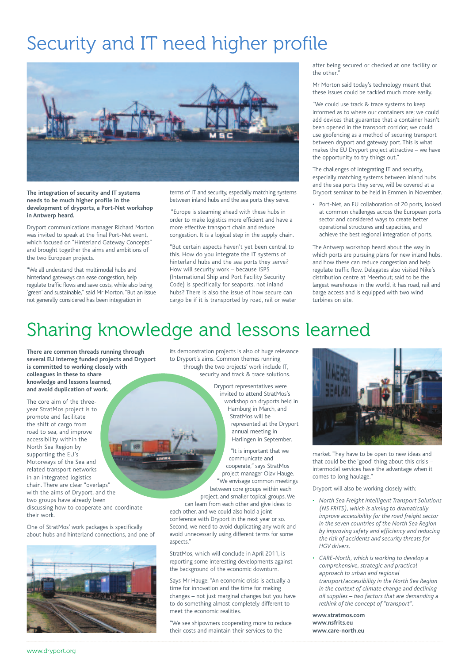### Security and IT need higher profile



**The integration of security and IT systems needs to be much higher profile in the development of dryports, a Port-Net workshop in Antwerp heard.**

Dryport communications manager Richard Morton was invited to speak at the final Port-Net event, which focused on "Hinterland Gateway Concepts" and brought together the aims and ambitions of the two European projects.

"We all understand that multimodal hubs and hinterland gateways can ease congestion, help regulate traffic flows and save costs, while also being 'green' and sustainable," said Mr Morton. "But an issue not generally considered has been integration in

terms of IT and security, especially matching systems between inland hubs and the sea ports they serve.

"Europe is steaming ahead with these hubs in order to make logistics more efficient and have a more effective transport chain and reduce congestion. It is a logical step in the supply chain.

"But certain aspects haven't yet been central to this. How do you integrate the IT systems of hinterland hubs and the sea ports they serve? How will security work – because ISPS (International Ship and Port Facility Security Code) is specifically for seaports, not inland hubs? There is also the issue of how secure can cargo be if it is transported by road, rail or water after being secured or checked at one facility or the other."

Mr Morton said today's technology meant that these issues could be tackled much more easily.

"We could use track & trace systems to keep informed as to where our containers are; we could add devices that guarantee that a container hasn't been opened in the transport corridor; we could use geofencing as a method of securing transport between dryport and gateway port. This is what makes the EU Dryport project attractive – we have the opportunity to try things out."

The challenges of integrating IT and security, especially matching systems between inland hubs and the sea ports they serve, will be covered at a Dryport seminar to be held in Emmen in November.

• Port-Net, an EU collaboration of 20 ports, looked at common challenges across the European ports sector and considered ways to create better operational structures and capacities, and achieve the best regional integration of ports.

The Antwerp workshop heard about the way in which ports are pursuing plans for new inland hubs, and how these can reduce congestion and help regulate traffic flow. Delegates also visited Nike's distribution centre at Meerhout; said to be the largest warehouse in the world, it has road, rail and barge access and is equipped with two wind turbines on site.

#### Sharing knowledge and lessons learned

**There are common threads running through several EU Interreg funded projects and Dryport is committed to working closely with colleagues in these to share knowledge and lessons learned, and avoid duplication of work.**

The core aim of the threeyear StratMos project is to promote and facilitate the shift of cargo from road to sea, and improve accessibility within the North Sea Region by 1659 supporting the EU's Motorways of the Sea and related transport networks in an integrated logistics chain. There are clear "overlaps" with the aims of Dryport, and the two groups have already been discussing how to cooperate and coordinate their work.

One of StratMos' work packages is specifically about hubs and hinterland connections, and one of



its demonstration projects is also of huge relevance to Dryport's aims. Common themes running through the two projects' work include IT, security and track & trace solutions.

> Dryport representatives were invited to attend StratMos's workshop on dryports held in Hamburg in March, and StratMos will be represented at the Dryport annual meeting in Harlingen in September.

"It is important that we communicate and cooperate," says StratMos project manager Olav Hauge. "We envisage common meetings between core groups within each project, and smaller topical groups. We

can learn from each other and give ideas to each other, and we could also hold a joint conference with Dryport in the next year or so. Second, we need to avoid duplicating any work and avoid unnecessarily using different terms for some aspects."

StratMos, which will conclude in April 2011, is reporting some interesting developments against the background of the economic downturn.

Says Mr Hauge: "An economic crisis is actually a time for innovation and the time for making changes – not just marginal changes but you have to do something almost completely different to meet the economic realities.

"We see shipowners cooperating more to reduce their costs and maintain their services to the



market. They have to be open to new ideas and that could be the 'good' thing about this crisis – intermodal services have the advantage when it comes to long haulage."

Dryport will also be working closely with:

- *• North Sea Freight Intelligent Transport Solutions (NS FRITS), which is aiming to dramatically improve accessibility for the road freight sector in the seven countries of the North Sea Region by improving safety and efficiency and reducing the risk of accidents and security threats for HGV drivers.*
- *• CARE-North, which is working to develop a comprehensive, strategic and practical approach to urban and regional transport/accessibility in the North Sea Region in the context of climate change and declining oil supplies – two factors that are demanding a rethink of the concept of "transport".*

**www.stratmos.com www.nsfrits.eu www.care-north.eu**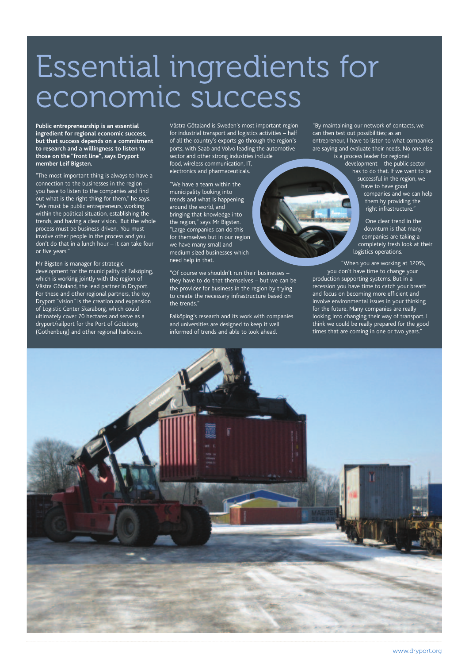## Essential ingredients for economic success

**Public entrepreneurship is an essential ingredient for regional economic success, but that success depends on a commitment to research and a willingness to listen to those on the "front line", says Dryport member Leif Bigsten.**

"The most important thing is always to have a connection to the businesses in the region – you have to listen to the companies and find out what is the right thing for them," he says. "We must be public entrepreneurs, working within the political situation, establishing the trends, and having a clear vision. But the whole process must be business-driven. You must involve other people in the process and you don't do that in a lunch hour – it can take four or five years."

Mr Bigsten is manager for strategic development for the municipality of Falköping, which is working jointly with the region of Västra Götaland, the lead partner in Dryport. For these and other regional partners, the key Dryport "vision" is the creation and expansion of Logistic Center Skaraborg, which could ultimately cover 70 hectares and serve as a dryport/railport for the Port of Göteborg (Gothenburg) and other regional harbours.

Västra Götaland is Sweden's most important region for industrial transport and logistics activities – half of all the country's exports go through the region's ports, with Saab and Volvo leading the automotive sector and other strong industries include food, wireless communication, IT, electronics and pharmaceuticals.

"We have a team within the municipality looking into trends and what is happening around the world, and bringing that knowledge into the region," says Mr Bigsten. "Large companies can do this for themselves but in our region we have many small and medium sized businesses which need help in that.

"Of course we shouldn't run their businesses – they have to do that themselves – but we can be the provider for business in the region by trying to create the necessary infrastructure based on the trends."

Falköping's research and its work with companies and universities are designed to keep it well informed of trends and able to look ahead.

"By maintaining our network of contacts, we can then test out possibilities; as an entrepreneur, I have to listen to what companies are saying and evaluate their needs. No one else is a process leader for regional

development – the public sector has to do that. If we want to be successful in the region, we have to have good

companies and we can help them by providing the right infrastructure."

One clear trend in the downturn is that many companies are taking a completely fresh look at their logistics operations.

"When you are working at 120%, you don't have time to change your production supporting systems. But in a recession you have time to catch your breath and focus on becoming more efficient and involve environmental issues in your thinking for the future. Many companies are really looking into changing their way of transport. I think we could be really prepared for the good times that are coming in one or two years.